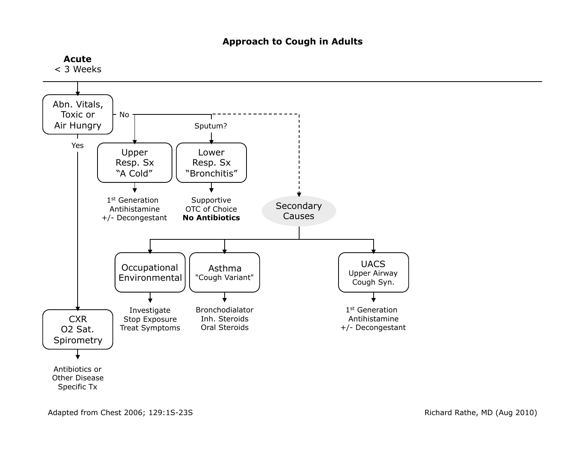## **Approach to Cough in Adults**